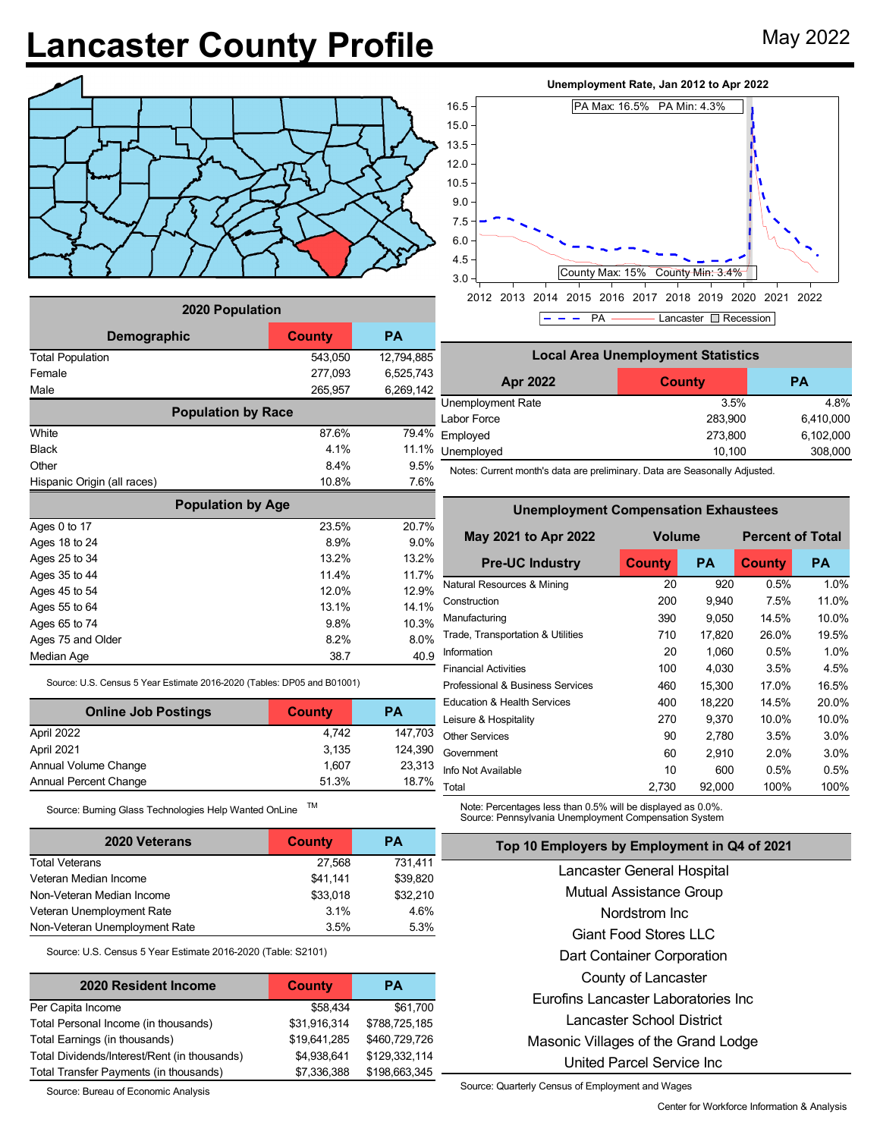## **Lancaster County Profile** May 2022



| 2020 Population             |               |            |  |  |  |  |
|-----------------------------|---------------|------------|--|--|--|--|
| Demographic                 | <b>County</b> | <b>PA</b>  |  |  |  |  |
| <b>Total Population</b>     | 543,050       | 12,794,885 |  |  |  |  |
| Female                      | 277,093       | 6,525,743  |  |  |  |  |
| Male                        | 265,957       | 6,269,142  |  |  |  |  |
| <b>Population by Race</b>   |               |            |  |  |  |  |
| White                       | 87.6%         | 79.4%      |  |  |  |  |
| Black                       | 4.1%          | 11.1%      |  |  |  |  |
| Other                       | 8.4%          | 9.5%       |  |  |  |  |
| Hispanic Origin (all races) | 10.8%         | 7.6%       |  |  |  |  |
| <b>Population by Age</b>    |               |            |  |  |  |  |
| Ages 0 to 17                | 23.5%         | 20.7%      |  |  |  |  |
| Ages 18 to 24               | 8.9%          | 9.0%       |  |  |  |  |
| Ages 25 to 34               | 13.2%         | 13.2%      |  |  |  |  |
| Ages 35 to 44               | 11.4%         | 11.7%      |  |  |  |  |
| Ages 45 to 54               | 12.0%         | 12.9%      |  |  |  |  |
| Ages 55 to 64               | 13.1%         | 14.1%      |  |  |  |  |
| Ages 65 to 74               | 9.8%          | 10.3%      |  |  |  |  |
| Ages 75 and Older           | 8.2%          | 8.0%       |  |  |  |  |
| Median Age                  | 38.7          | 40.9       |  |  |  |  |

Source: U.S. Census 5 Year Estimate 2016-2020 (Tables: DP05 and B01001)

| <b>Online Job Postings</b>   | <b>County</b> | РA      |
|------------------------------|---------------|---------|
| April 2022                   | 4.742         | 147.703 |
| April 2021                   | 3.135         | 124,390 |
| Annual Volume Change         | 1.607         | 23,313  |
| <b>Annual Percent Change</b> | 51.3%         | 18.7%   |

Source: Burning Glass Technologies Help Wanted OnLine TM

| <b>2020 Veterans</b>          | County   | <b>PA</b> |
|-------------------------------|----------|-----------|
| <b>Total Veterans</b>         | 27.568   | 731,411   |
| Veteran Median Income         | \$41.141 | \$39,820  |
| Non-Veteran Median Income     | \$33,018 | \$32,210  |
| Veteran Unemployment Rate     | 3.1%     | 4.6%      |
| Non-Veteran Unemployment Rate | 3.5%     | 5.3%      |

Source: U.S. Census 5 Year Estimate 2016-2020 (Table: S2101)

| 2020 Resident Income                         | <b>County</b> | <b>PA</b>     |
|----------------------------------------------|---------------|---------------|
| Per Capita Income                            | \$58.434      | \$61,700      |
| Total Personal Income (in thousands)         | \$31,916,314  | \$788,725,185 |
| Total Earnings (in thousands)                | \$19,641,285  | \$460,729,726 |
| Total Dividends/Interest/Rent (in thousands) | \$4,938,641   | \$129,332,114 |
| Total Transfer Payments (in thousands)       | \$7,336,388   | \$198,663,345 |

Source: Bureau of Economic Analysis





| <b>Local Area Unemployment Statistics</b> |               |           |  |  |  |  |
|-------------------------------------------|---------------|-----------|--|--|--|--|
| Apr 2022                                  | <b>County</b> | <b>PA</b> |  |  |  |  |
| Unemployment Rate                         | 3.5%          | 4.8%      |  |  |  |  |
| Labor Force                               | 283,900       | 6,410,000 |  |  |  |  |
| Employed                                  | 273,800       | 6,102,000 |  |  |  |  |
| Unemployed                                | 10,100        | 308,000   |  |  |  |  |

Notes: Current month's data are preliminary. Data are Seasonally Adjusted.

**Unemployment Compensation Exhaustees**

| Unemployment Compensation Exnaustees |           |                         |           |  |  |  |  |  |
|--------------------------------------|-----------|-------------------------|-----------|--|--|--|--|--|
| <b>Volume</b>                        |           | <b>Percent of Total</b> |           |  |  |  |  |  |
| <b>County</b>                        | <b>PA</b> | <b>County</b>           | <b>PA</b> |  |  |  |  |  |
| 20                                   | 920       | 0.5%                    | 1.0%      |  |  |  |  |  |
| 200                                  | 9,940     | 7.5%                    | 11.0%     |  |  |  |  |  |
| 390                                  | 9,050     | 14.5%                   | 10.0%     |  |  |  |  |  |
| 710                                  | 17.820    | 26.0%                   | 19.5%     |  |  |  |  |  |
| 20                                   | 1.060     | 0.5%                    | 1.0%      |  |  |  |  |  |
| 100                                  | 4,030     | 3.5%                    | 4.5%      |  |  |  |  |  |
| 460                                  | 15,300    | 17.0%                   | 16.5%     |  |  |  |  |  |
| 400                                  | 18,220    | 14.5%                   | 20.0%     |  |  |  |  |  |
| 270                                  | 9.370     | 10.0%                   | 10.0%     |  |  |  |  |  |
| 90                                   | 2,780     | 3.5%                    | 3.0%      |  |  |  |  |  |
| 60                                   | 2,910     | 2.0%                    | 3.0%      |  |  |  |  |  |
| 10                                   | 600       | 0.5%                    | 0.5%      |  |  |  |  |  |
| 2,730                                | 92,000    | 100%                    | 100%      |  |  |  |  |  |
|                                      |           |                         |           |  |  |  |  |  |

Note: Percentages less than 0.5% will be displayed as 0.0%. Source: Pennsylvania Unemployment Compensation System

| Top 10 Employers by Employment in Q4 of 2021 |
|----------------------------------------------|
| Lancaster General Hospital                   |
| Mutual Assistance Group                      |
| Nordstrom Inc.                               |
| Giant Food Stores LLC                        |
| Dart Container Corporation                   |
| County of Lancaster                          |
| Eurofins Lancaster Laboratories Inc          |
| Lancaster School District                    |
| Masonic Villages of the Grand Lodge          |
| United Parcel Service Inc                    |

Source: Quarterly Census of Employment and Wages